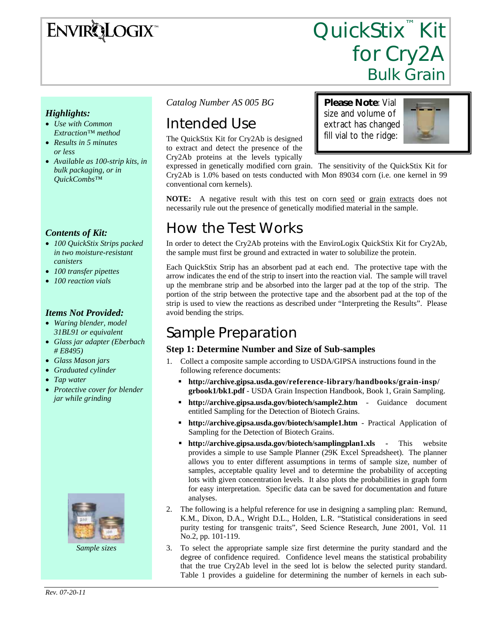# **ENVIRQLOGIX**

# QuickStix<sup>™</sup> Kit for Cry2A<br>Bulk Grain

**Please Note**: Vial size and volume of extract has changed – fill vial to the ridge:

#### *Highlights:*

- *Use with Common Extraction™ method*
- *Results in 5 minutes or less*
- *Available as 100-strip kits, in bulk packaging, or in QuickCombs™*

#### *Contents of Kit:*

- *100 QuickStix Strips packed in two moisture-resistant canisters*
- *100 transfer pipettes*
- *100 reaction vials*

#### *Items Not Provided:*

- *Waring blender, model 31BL91 or equivalent*
- *Glass jar adapter (Eberbach # E8495)*
- *Glass Mason jars*
- *Graduated cylinder*
- *Tap water*
- *Protective cover for blender jar while grinding*



*Sample sizes* 

*Catalog Number AS 005 BG* 

# Intended Use

conventional corn kernels).

The QuickStix Kit for Cry2Ab is designed to extract and detect the presence of the

Cry2Ab proteins at the levels typically expressed in genetically modified corn grain. The sensitivity of the QuickStix Kit for Cry2Ab is 1.0% based on tests conducted with Mon 89034 corn (i.e. one kernel in 99

**NOTE:** A negative result with this test on corn seed or grain extracts does not necessarily rule out the presence of genetically modified material in the sample.

# How the Test Works

In order to detect the Cry2Ab proteins with the EnviroLogix QuickStix Kit for Cry2Ab, the sample must first be ground and extracted in water to solubilize the protein.

Each QuickStix Strip has an absorbent pad at each end. The protective tape with the arrow indicates the end of the strip to insert into the reaction vial. The sample will travel up the membrane strip and be absorbed into the larger pad at the top of the strip. The portion of the strip between the protective tape and the absorbent pad at the top of the strip is used to view the reactions as described under "Interpreting the Results". Please avoid bending the strips.

# Sample Preparation

#### **Step 1: Determine Number and Size of Sub-samples**

- 1. Collect a composite sample according to USDA/GIPSA instructions found in the following reference documents:
	- **http://archive.gipsa.usda.gov/reference-library/handbooks/grain-insp/ grbook1/bk1.pdf** - USDA Grain Inspection Handbook, Book 1, Grain Sampling.
	- **http://archive.gipsa.usda.gov/biotech/sample2.htm** Guidance document entitled Sampling for the Detection of Biotech Grains.
	- **http://archive.gipsa.usda.gov/biotech/sample1.htm** Practical Application of Sampling for the Detection of Biotech Grains.
	- **http://archive.gipsa.usda.gov/biotech/samplingplan1.xls** This website provides a simple to use Sample Planner (29K Excel Spreadsheet). The planner allows you to enter different assumptions in terms of sample size, number of samples, acceptable quality level and to determine the probability of accepting lots with given concentration levels. It also plots the probabilities in graph form for easy interpretation. Specific data can be saved for documentation and future analyses.
- 2. The following is a helpful reference for use in designing a sampling plan: Remund, K.M., Dixon, D.A., Wright D.L., Holden, L.R. "Statistical considerations in seed purity testing for transgenic traits", Seed Science Research, June 2001, Vol. 11 No.2, pp. 101-119.
- 3. To select the appropriate sample size first determine the purity standard and the degree of confidence required. Confidence level means the statistical probability that the true Cry2Ab level in the seed lot is below the selected purity standard. Table 1 provides a guideline for determining the number of kernels in each sub-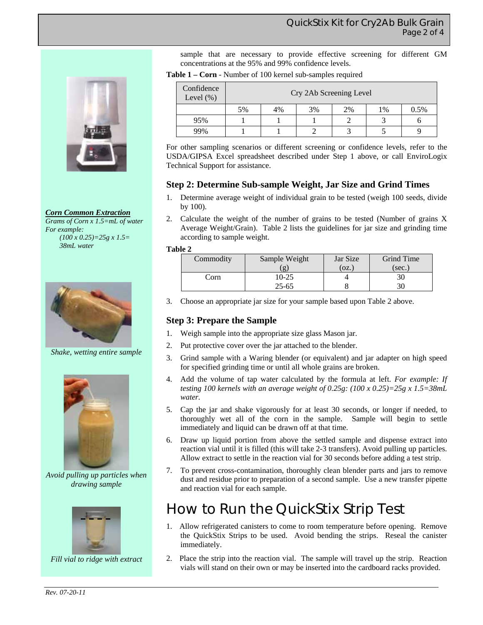#### *Corn Common Extraction*

*Grams of Corn x 1.5=mL of water For example: (100 x 0.25)=25g x 1.5= 38mL water* 



*Shake, wetting entire sample* 



*Avoid pulling up particles when drawing sample* 



*Fill vial to ridge with extract* 

sample that are necessary to provide effective screening for different GM concentrations at the 95% and 99% confidence levels.

**Table 1 – Corn** - Number of 100 kernel sub-samples required

| Confidence<br>Level $(\% )$ | Cry 2Ab Screening Level |    |    |    |    |      |
|-----------------------------|-------------------------|----|----|----|----|------|
|                             | 5%                      | 4% | 3% | 2% | 1% | 0.5% |
| 95%                         |                         |    |    |    |    |      |
| 99%                         |                         |    |    |    |    |      |

For other sampling scenarios or different screening or confidence levels, refer to the USDA/GIPSA Excel spreadsheet described under Step 1 above, or call EnviroLogix Technical Support for assistance.

#### **Step 2: Determine Sub-sample Weight, Jar Size and Grind Times**

- 1. Determine average weight of individual grain to be tested (weigh 100 seeds, divide by 100).
- 2. Calculate the weight of the number of grains to be tested (Number of grains X Average Weight/Grain). Table 2 lists the guidelines for jar size and grinding time according to sample weight.

#### **Table 2**

| Commodity | Sample Weight | Jar Size | <b>Grind Time</b> |  |
|-----------|---------------|----------|-------------------|--|
|           | $\mathbf{g}$  | (OZ.)    | (sec.             |  |
| Corn      | 10-25         |          | 30                |  |
|           | $25 - 65$     |          |                   |  |

3. Choose an appropriate jar size for your sample based upon Table 2 above.

#### **Step 3: Prepare the Sample**

- 1. Weigh sample into the appropriate size glass Mason jar.
- 2. Put protective cover over the jar attached to the blender.
- 3. Grind sample with a Waring blender (or equivalent) and jar adapter on high speed for specified grinding time or until all whole grains are broken.
- 4. Add the volume of tap water calculated by the formula at left. *For example: If testing 100 kernels with an average weight of 0.25g: (100 x 0.25)=25g x 1.5=38mL water.*
- 5. Cap the jar and shake vigorously for at least 30 seconds, or longer if needed, to thoroughly wet all of the corn in the sample. Sample will begin to settle immediately and liquid can be drawn off at that time.
- 6. Draw up liquid portion from above the settled sample and dispense extract into reaction vial until it is filled (this will take 2-3 transfers). Avoid pulling up particles. Allow extract to settle in the reaction vial for 30 seconds before adding a test strip.
- 7. To prevent cross-contamination, thoroughly clean blender parts and jars to remove dust and residue prior to preparation of a second sample. Use a new transfer pipette and reaction vial for each sample.

### How to Run the QuickStix Strip Test

- 1. Allow refrigerated canisters to come to room temperature before opening. Remove the QuickStix Strips to be used. Avoid bending the strips. Reseal the canister immediately.
- 2. Place the strip into the reaction vial. The sample will travel up the strip. Reaction vials will stand on their own or may be inserted into the cardboard racks provided.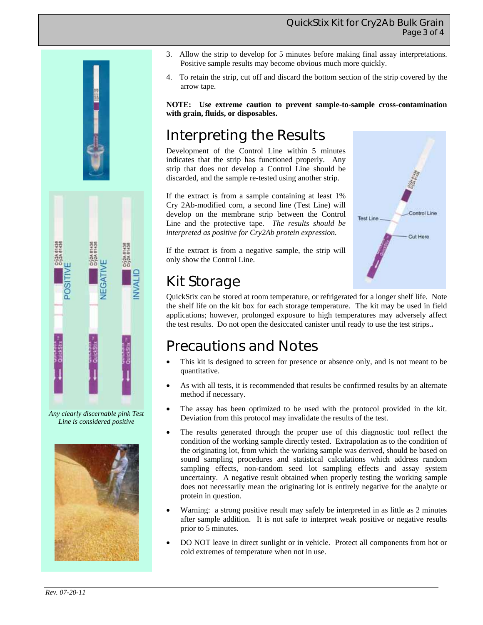#### QuickStix Kit for Cry2Ab Bulk Grain Page 3 of 4



*Any clearly discernable pink Test Line is considered positive* 



- 3. Allow the strip to develop for 5 minutes before making final assay interpretations. Positive sample results may become obvious much more quickly.
- 4. To retain the strip, cut off and discard the bottom section of the strip covered by the arrow tape.

**NOTE: Use extreme caution to prevent sample-to-sample cross-contamination with grain, fluids, or disposables.** 

# Interpreting the Results

Development of the Control Line within 5 minutes indicates that the strip has functioned properly. Any strip that does not develop a Control Line should be discarded, and the sample re-tested using another strip.

If the extract is from a sample containing at least 1% Cry 2Ab-modified corn, a second line (Test Line) will develop on the membrane strip between the Control Line and the protective tape. *The results should be interpreted as positive for Cry2Ab protein expression.*

If the extract is from a negative sample, the strip will only show the Control Line.



# Kit Storage

QuickStix can be stored at room temperature, or refrigerated for a longer shelf life. Note the shelf life on the kit box for each storage temperature. The kit may be used in field applications; however, prolonged exposure to high temperatures may adversely affect the test results. Do not open the desiccated canister until ready to use the test strips.**.** 

# Precautions and Notes

- This kit is designed to screen for presence or absence only, and is not meant to be quantitative.
- As with all tests, it is recommended that results be confirmed results by an alternate method if necessary.
- The assay has been optimized to be used with the protocol provided in the kit. Deviation from this protocol may invalidate the results of the test.
- The results generated through the proper use of this diagnostic tool reflect the condition of the working sample directly tested. Extrapolation as to the condition of the originating lot, from which the working sample was derived, should be based on sound sampling procedures and statistical calculations which address random sampling effects, non-random seed lot sampling effects and assay system uncertainty. A negative result obtained when properly testing the working sample does not necessarily mean the originating lot is entirely negative for the analyte or protein in question.
- Warning: a strong positive result may safely be interpreted in as little as 2 minutes after sample addition. It is not safe to interpret weak positive or negative results prior to 5 minutes.
- DO NOT leave in direct sunlight or in vehicle. Protect all components from hot or cold extremes of temperature when not in use.